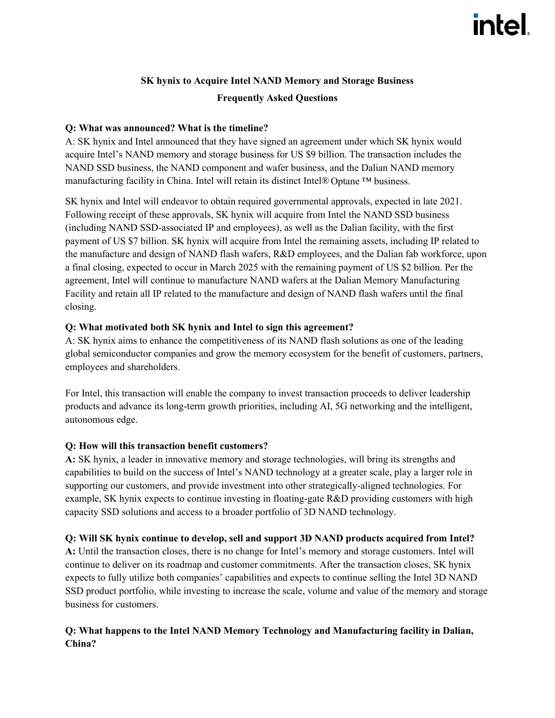# **SK hynix to Acquire Intel NAND Memory and Storage Business Frequently Asked Questions**

## **Q: What was announced? What is the timeline?**

A: SK hynix and Intel announced that they have signed an agreement under which SK hynix would acquire Intel's NAND memory and storage business for US \$9 billion. The transaction includes the NAND SSD business, the NAND component and wafer business, and the Dalian NAND memory manufacturing facility in China. Intel will retain its distinct Intel® Optane ™ business.

SK hynix and Intel will endeavor to obtain required governmental approvals, expected in late 2021. Following receipt of these approvals, SK hynix will acquire from Intel the NAND SSD business (including NAND SSD-associated IP and employees), as well as the Dalian facility, with the first payment of US \$7 billion. SK hynix will acquire from Intel the remaining assets, including IP related to the manufacture and design of NAND flash wafers, R&D employees, and the Dalian fab workforce, upon a final closing, expected to occur in March 2025 with the remaining payment of US \$2 billion. Per the agreement, Intel will continue to manufacture NAND wafers at the Dalian Memory Manufacturing Facility and retain all IP related to the manufacture and design of NAND flash wafers until the final closing.

### **Q: What motivated both SK hynix and Intel to sign this agreement?**

A: SK hynix aims to enhance the competitiveness of its NAND flash solutions as one of the leading global semiconductor companies and grow the memory ecosystem for the benefit of customers, partners, employees and shareholders.

For Intel, this transaction will enable the company to invest transaction proceeds to deliver leadership products and advance its long-term growth priorities, including AI, 5G networking and the intelligent, autonomous edge.

## **Q: How will this transaction benefit customers?**

**A:** SK hynix, a leader in innovative memory and storage technologies, will bring its strengths and capabilities to build on the success of Intel's NAND technology at a greater scale, play a larger role in supporting our customers, and provide investment into other strategically-aligned technologies. For example, SK hynix expects to continue investing in floating-gate R&D providing customers with high capacity SSD solutions and access to a broader portfolio of 3D NAND technology.

#### **Q: Will SK hynix continue to develop, sell and support 3D NAND products acquired from Intel?**

**A:** Until the transaction closes, there is no change for Intel's memory and storage customers. Intel will continue to deliver on its roadmap and customer commitments. After the transaction closes, SK hynix expects to fully utilize both companies' capabilities and expects to continue selling the Intel 3D NAND SSD product portfolio, while investing to increase the scale, volume and value of the memory and storage business for customers.

## **Q: What happens to the Intel NAND Memory Technology and Manufacturing facility in Dalian, China?**